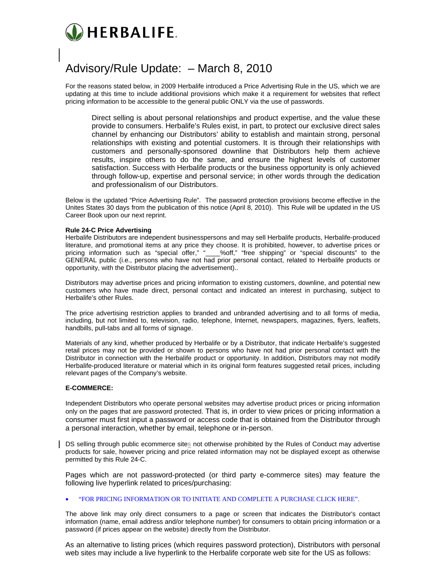

# Advisory/Rule Update: – March 8, 2010

For the reasons stated below, in 2009 Herbalife introduced a Price Advertising Rule in the US, which we are updating at this time to include additional provisions which make it a requirement for websites that reflect pricing information to be accessible to the general public ONLY via the use of passwords.

Direct selling is about personal relationships and product expertise, and the value these provide to consumers. Herbalife's Rules exist, in part, to protect our exclusive direct sales channel by enhancing our Distributors' ability to establish and maintain strong, personal relationships with existing and potential customers. It is through their relationships with customers and personally-sponsored downline that Distributors help them achieve results, inspire others to do the same, and ensure the highest levels of customer satisfaction. Success with Herbalife products or the business opportunity is only achieved through follow-up, expertise and personal service; in other words through the dedication and professionalism of our Distributors.

Below is the updated "Price Advertising Rule". The password protection provisions become effective in the Unites States 30 days from the publication of this notice (April 8, 2010). This Rule will be updated in the US Career Book upon our next reprint.

#### **Rule 24-C Price Advertising**

Herbalife Distributors are independent businesspersons and may sell Herbalife products, Herbalife-produced literature, and promotional items at any price they choose. It is prohibited, however, to advertise prices or pricing information such as "special offer," "\_\_\_\_%off," "free shipping" or "special discounts" to the GENERAL public (i.e., persons who have not had prior personal contact, related to Herbalife products or opportunity, with the Distributor placing the advertisement)..

Distributors may advertise prices and pricing information to existing customers, downline, and potential new customers who have made direct, personal contact and indicated an interest in purchasing, subject to Herbalife's other Rules.

The price advertising restriction applies to branded and unbranded advertising and to all forms of media, including, but not limited to, television, radio, telephone, Internet, newspapers, magazines, flyers, leaflets, handbills, pull-tabs and all forms of signage.

Materials of any kind, whether produced by Herbalife or by a Distributor, that indicate Herbalife's suggested retail prices may not be provided or shown to persons who have not had prior personal contact with the Distributor in connection with the Herbalife product or opportunity. In addition, Distributors may not modify Herbalife-produced literature or material which in its original form features suggested retail prices, including relevant pages of the Company's website.

## **E-COMMERCE:**

Independent Distributors who operate personal websites may advertise product prices or pricing information only on the pages that are password protected. That is, in order to view prices or pricing information a consumer must first input a password or access code that is obtained from the Distributor through a personal interaction, whether by email, telephone or in-person.

DS selling through public ecommerce sites not otherwise prohibited by the Rules of Conduct may advertise products for sale, however pricing and price related information may not be displayed except as otherwise permitted by this Rule 24-C.

Pages which are not password-protected (or third party e-commerce sites) may feature the following live hyperlink related to prices/purchasing:

## • "FOR PRICING INFORMATION OR TO INITIATE AND COMPLETE A PURCHASE CLICK HERE".

The above link may only direct consumers to a page or screen that indicates the Distributor's contact information (name, email address and/or telephone number) for consumers to obtain pricing information or a password (if prices appear on the website) directly from the Distributor.

As an alternative to listing prices (which requires password protection), Distributors with personal web sites may include a live hyperlink to the Herbalife corporate web site for the US as follows: